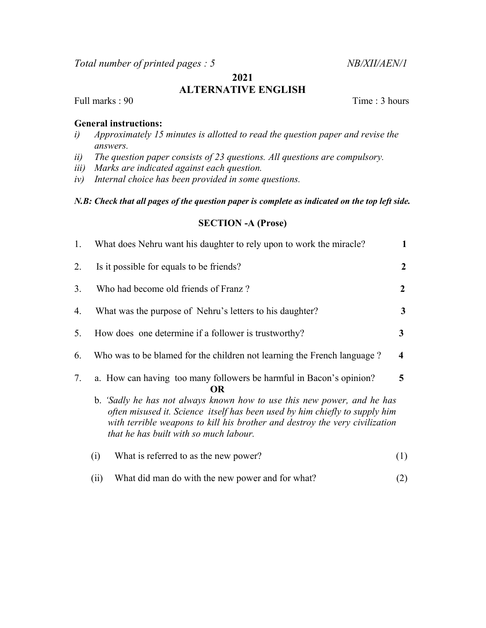Total number of printed pages : 5 NB/XII/AEN/1

# 2021 ALTERNATIVE ENGLISH

Full marks : 90 Time : 3 hours

# General instructions:

- i) Approximately 15 minutes is allotted to read the question paper and revise the answers.
- ii) The question paper consists of 23 questions. All questions are compulsory.
- iii) Marks are indicated against each question.
- iv) Internal choice has been provided in some questions.

## N.B: Check that all pages of the question paper is complete as indicated on the top left side.

## SECTION -A (Prose)

| 1. | What does Nehru want his daughter to rely upon to work the miracle?                                                                                                                                                                                                                                                                                                      | 1              |  |
|----|--------------------------------------------------------------------------------------------------------------------------------------------------------------------------------------------------------------------------------------------------------------------------------------------------------------------------------------------------------------------------|----------------|--|
| 2. | Is it possible for equals to be friends?                                                                                                                                                                                                                                                                                                                                 | 2              |  |
| 3. | Who had become old friends of Franz?                                                                                                                                                                                                                                                                                                                                     | $\overline{2}$ |  |
| 4. | What was the purpose of Nehru's letters to his daughter?                                                                                                                                                                                                                                                                                                                 | 3              |  |
| 5. | How does one determine if a follower is trustworthy?                                                                                                                                                                                                                                                                                                                     | 3              |  |
| 6. | Who was to be blamed for the children not learning the French language?                                                                                                                                                                                                                                                                                                  | 4              |  |
| 7. | a. How can having too many followers be harmful in Bacon's opinion?<br>5<br><b>OR</b><br>b. 'Sadly he has not always known how to use this new power, and he has<br>often misused it. Science itself has been used by him chiefly to supply him<br>with terrible weapons to kill his brother and destroy the very civilization<br>that he has built with so much labour. |                |  |
|    | What is referred to as the new power?<br>(i)                                                                                                                                                                                                                                                                                                                             | (1)            |  |
|    | What did man do with the new power and for what?<br>(i)                                                                                                                                                                                                                                                                                                                  | (2)            |  |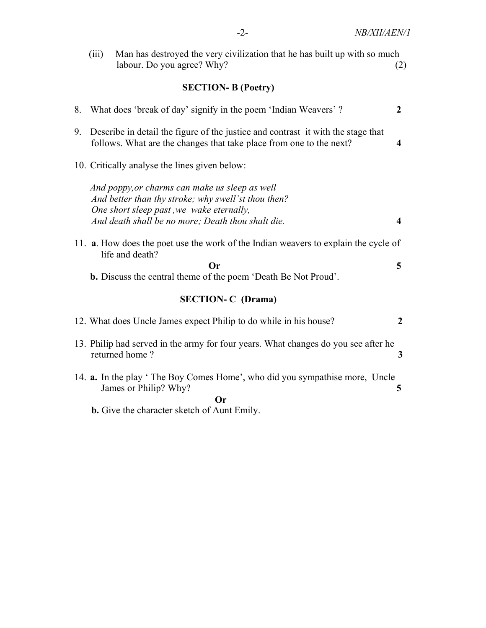|    | (iii)                     | Man has destroyed the very civilization that he has built up with so much<br>labour. Do you agree? Why?                                                                                                | (2)              |  |  |  |
|----|---------------------------|--------------------------------------------------------------------------------------------------------------------------------------------------------------------------------------------------------|------------------|--|--|--|
|    | <b>SECTION-B (Poetry)</b> |                                                                                                                                                                                                        |                  |  |  |  |
| 8. |                           | What does 'break of day' signify in the poem 'Indian Weavers'?                                                                                                                                         | $\boldsymbol{2}$ |  |  |  |
| 9. |                           | Describe in detail the figure of the justice and contrast it with the stage that<br>follows. What are the changes that take place from one to the next?                                                | 4                |  |  |  |
|    |                           | 10. Critically analyse the lines given below:                                                                                                                                                          |                  |  |  |  |
|    |                           | And poppy, or charms can make us sleep as well<br>And better than thy stroke; why swell'st thou then?<br>One short sleep past, we wake eternally,<br>And death shall be no more; Death thou shalt die. | 4                |  |  |  |
|    |                           | 11. a. How does the poet use the work of the Indian weavers to explain the cycle of<br>life and death?                                                                                                 |                  |  |  |  |
|    |                           | <b>Or</b><br><b>b.</b> Discuss the central theme of the poem 'Death Be Not Proud'.                                                                                                                     | 5                |  |  |  |
|    | <b>SECTION-C</b> (Drama)  |                                                                                                                                                                                                        |                  |  |  |  |
|    |                           | 12. What does Uncle James expect Philip to do while in his house?                                                                                                                                      | $\overline{2}$   |  |  |  |
|    |                           | 13. Philip had served in the army for four years. What changes do you see after he<br>returned home?                                                                                                   | 3                |  |  |  |
|    |                           | 14. a. In the play 'The Boy Comes Home', who did you sympathise more, Uncle<br>James or Philip? Why?                                                                                                   | 5                |  |  |  |
|    |                           | <b>Or</b><br><b>b.</b> Give the character sketch of Aunt Emily.                                                                                                                                        |                  |  |  |  |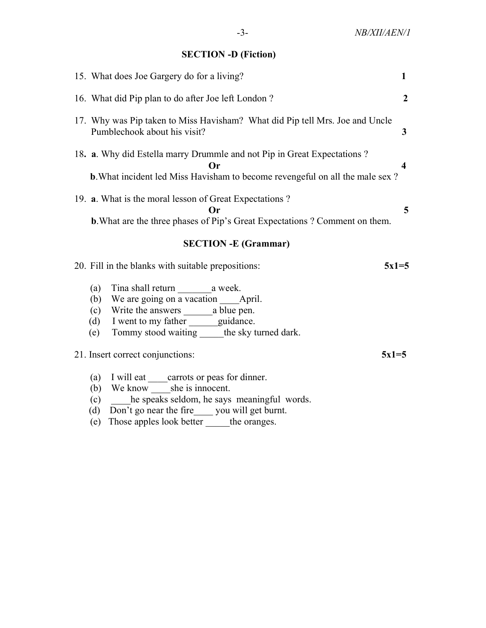# SECTION -D (Fiction)

| 15. What does Joe Gargery do for a living?                                                                                                                                   | 1              |
|------------------------------------------------------------------------------------------------------------------------------------------------------------------------------|----------------|
| 16. What did Pip plan to do after Joe left London?                                                                                                                           | $\overline{2}$ |
| 17. Why was Pip taken to Miss Havisham? What did Pip tell Mrs. Joe and Uncle<br>Pumblechook about his visit?                                                                 | 3              |
| 18. a. Why did Estella marry Drummle and not Pip in Great Expectations ?<br><b>Or</b><br><b>b.</b> What incident led Miss Havisham to become revengeful on all the male sex? | 4              |
| 19. a. What is the moral lesson of Great Expectations?<br>Оr<br><b>b.</b> What are the three phases of Pip's Great Expectations ? Comment on them.                           | 5              |
| <b>SECTION - E (Grammar)</b>                                                                                                                                                 |                |
|                                                                                                                                                                              |                |
| 20. Fill in the blanks with suitable prepositions:<br>$5x1=5$                                                                                                                |                |
| (a)<br>We are going on a vacation _____ April.<br>(b)<br>(c)<br>(d) I went to my father _______ guidance.<br>Tommy stood waiting ______ the sky turned dark.<br>(e)          |                |
| 21. Insert correct conjunctions:<br>$5x1=5$                                                                                                                                  |                |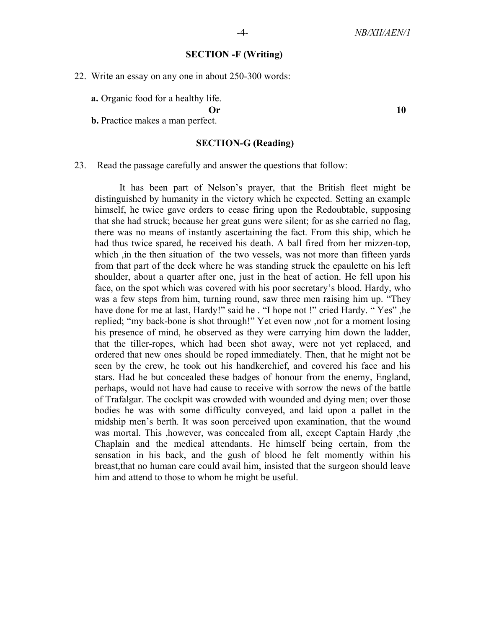#### SECTION -F (Writing)

22. Write an essay on any one in about 250-300 words:

a. Organic food for a healthy life.

Or and the set of  $\overline{10}$ 

b. Practice makes a man perfect.

### SECTION-G (Reading)

#### 23. Read the passage carefully and answer the questions that follow:

 It has been part of Nelson's prayer, that the British fleet might be distinguished by humanity in the victory which he expected. Setting an example himself, he twice gave orders to cease firing upon the Redoubtable, supposing that she had struck; because her great guns were silent; for as she carried no flag, there was no means of instantly ascertaining the fact. From this ship, which he had thus twice spared, he received his death. A ball fired from her mizzen-top, which , in the then situation of the two vessels, was not more than fifteen yards from that part of the deck where he was standing struck the epaulette on his left shoulder, about a quarter after one, just in the heat of action. He fell upon his face, on the spot which was covered with his poor secretary's blood. Hardy, who was a few steps from him, turning round, saw three men raising him up. "They have done for me at last, Hardy!" said he . "I hope not !" cried Hardy. " Yes" ,he replied; "my back-bone is shot through!" Yet even now ,not for a moment losing his presence of mind, he observed as they were carrying him down the ladder, that the tiller-ropes, which had been shot away, were not yet replaced, and ordered that new ones should be roped immediately. Then, that he might not be seen by the crew, he took out his handkerchief, and covered his face and his stars. Had he but concealed these badges of honour from the enemy, England, perhaps, would not have had cause to receive with sorrow the news of the battle of Trafalgar. The cockpit was crowded with wounded and dying men; over those bodies he was with some difficulty conveyed, and laid upon a pallet in the midship men's berth. It was soon perceived upon examination, that the wound was mortal. This ,however, was concealed from all, except Captain Hardy ,the Chaplain and the medical attendants. He himself being certain, from the sensation in his back, and the gush of blood he felt momently within his breast,that no human care could avail him, insisted that the surgeon should leave him and attend to those to whom he might be useful.